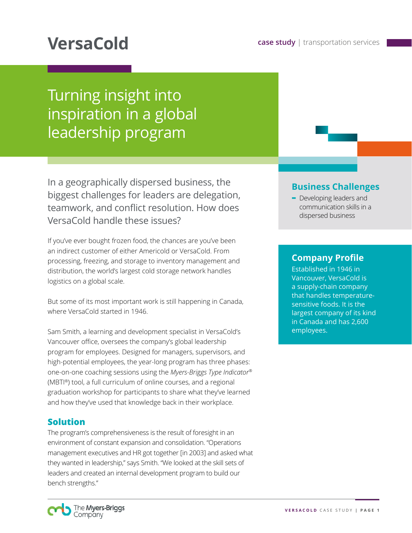# Turning insight into inspiration in a global leadership program

In a geographically dispersed business, the biggest challenges for leaders are delegation, teamwork, and conflict resolution. How does VersaCold handle these issues?

If you've ever bought frozen food, the chances are you've been an indirect customer of either Americold or VersaCold. From processing, freezing, and storage to inventory management and distribution, the world's largest cold storage network handles logistics on a global scale.

But some of its most important work is still happening in Canada, where VersaCold started in 1946.

Sam Smith, a learning and development specialist in VersaCold's Vancouver office, oversees the company's global leadership program for employees. Designed for managers, supervisors, and high-potential employees, the year-long program has three phases: one-on-one coaching sessions using the *Myers-Briggs Type Indicator®* (MBTI®) tool, a full curriculum of online courses, and a regional graduation workshop for participants to share what they've learned and how they've used that knowledge back in their workplace.

#### **Solution**

The program's comprehensiveness is the result of foresight in an environment of constant expansion and consolidation. "Operations management executives and HR got together [in 2003] and asked what they wanted in leadership," says Smith. "We looked at the skill sets of leaders and created an internal development program to build our bench strengths."

### **Business Challenges**

**-** Developing leaders and communication skills in a dispersed business

#### **Company Profile**

Established in 1946 in Vancouver, VersaCold is a supply-chain company that handles temperaturesensitive foods. It is the largest company of its kind in Canada and has 2,600 employees.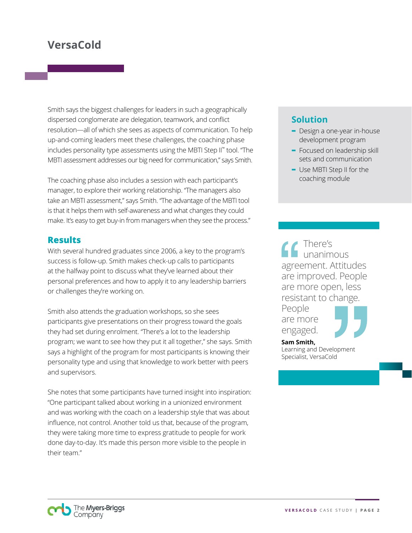## **VersaCold**

Smith says the biggest challenges for leaders in such a geographically dispersed conglomerate are delegation, teamwork, and conflict resolution—all of which she sees as aspects of communication. To help up-and-coming leaders meet these challenges, the coaching phase includes personality type assessments using the MBTI Step II™ tool. "The MBTI assessment addresses our big need for communication," says Smith.

The coaching phase also includes a session with each participant's manager, to explore their working relationship. "The managers also take an MBTI assessment," says Smith. "The advantage of the MBTI tool is that it helps them with self-awareness and what changes they could make. It's easy to get buy-in from managers when they see the process."

#### **Results**

With several hundred graduates since 2006, a key to the program's success is follow-up. Smith makes check-up calls to participants at the halfway point to discuss what they've learned about their personal preferences and how to apply it to any leadership barriers or challenges they're working on.

Smith also attends the graduation workshops, so she sees participants give presentations on their progress toward the goals they had set during enrolment. "There's a lot to the leadership program; we want to see how they put it all together," she says. Smith says a highlight of the program for most participants is knowing their personality type and using that knowledge to work better with peers and supervisors.

She notes that some participants have turned insight into inspiration: "One participant talked about working in a unionized environment and was working with the coach on a leadership style that was about influence, not control. Another told us that, because of the program, they were taking more time to express gratitude to people for work done day-to-day. It's made this person more visible to the people in their team."

#### **Solution**

- **-** Design a one-year in-house development program
- **-** Focused on leadership skill sets and communication
- **-** Use MBTI Step II for the coaching module

There's unanimous agreement. Attitudes are improved. People are more open, less resistant to change. People

are more engaged.



**Sam Smith,**  Learning and Development Specialist, VersaCold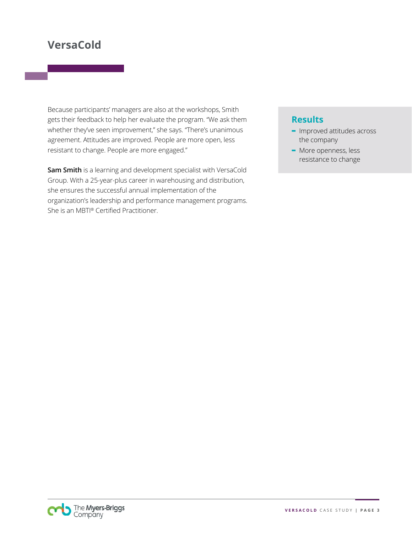# **VersaCold**

Because participants' managers are also at the workshops, Smith gets their feedback to help her evaluate the program. "We ask them whether they've seen improvement," she says. "There's unanimous agreement. Attitudes are improved. People are more open, less resistant to change. People are more engaged."

**Sam Smith** is a learning and development specialist with VersaCold Group. With a 25-year-plus career in warehousing and distribution, she ensures the successful annual implementation of the organization's leadership and performance management programs. She is an MBTI® Certified Practitioner.

#### **Results**

- **-** Improved attitudes across the company
- **-** More openness, less resistance to change